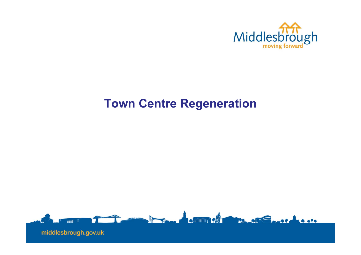

# Town Centre Regeneration

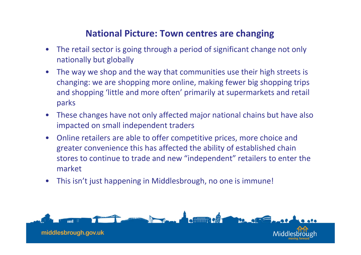### National Picture: Town centres are changing

- $\bullet$  The retail sector is going through a period of significant change not only nationally but globally
- $\bullet$  The way we shop and the way that communities use their high streets is changing: we are shopping more online, making fewer big shopping trips and shopping 'little and more often' primarily at supermarkets and retail parks
- $\bullet$  These changes have not only affected major national chains but have also impacted on small independent traders
- $\bullet$  Online retailers are able to offer competitive prices, more choice and greater convenience this has affected the ability of established chain stores to continue to trade and new "independent" retailers to enter the market
- $\bullet$ This isn't just happening in Middlesbrough, no one is immune!

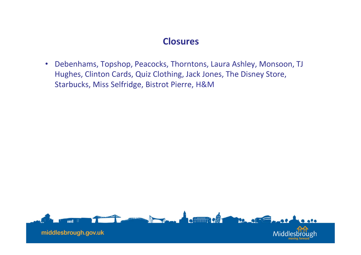### **Closures**

• Debenhams, Topshop, Peacocks, Thorntons, Laura Ashley, Monsoon, TJ Hughes, Clinton Cards, Quiz Clothing, Jack Jones, The Disney Store, Starbucks, Miss Selfridge, Bistrot Pierre, H&M

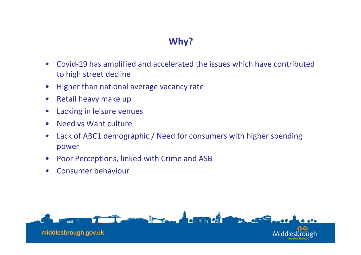# Why?

- $\bullet$  Covid-19 has amplified and accelerated the issues which have contributed to high street decline
- $\bullet$ Higher than national average vacancy rate
- $\bullet$ Retail heavy make up
- $\bullet$ Lacking in leisure venues
- $\bullet$ Need vs Want culture
- $\bullet$  Lack of ABC1 demographic / Need for consumers with higher spending power
- $\bullet$ Poor Perceptions, linked with Crime and ASB
- $\bullet$ Consumer behaviour

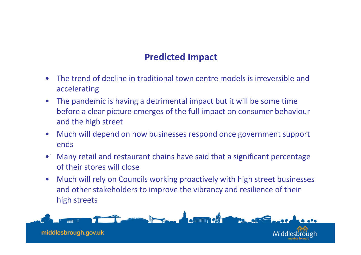- 
- **Predicted Impact**<br>
 The trend of decline in traditional town centre models is irreversible and<br>
accelerating<br>
 The pandemic is having a detrimental impact but it will be some time<br>
before a clear picture emerges of the
- 
- $\bullet$  Many retail and restaurant chains have said that a significant percentage of their stores will close
- $\bullet$  Much will rely on Councils working proactively with high street businesses and other stakeholders to improve the vibrancy and resilience of their high streets

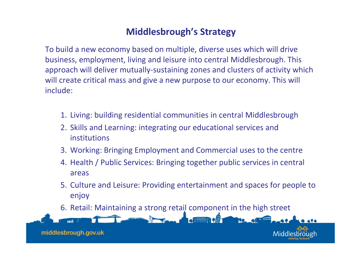# Middlesbrough's Strategy

To build a new economy based on multiple, diverse uses which will drive business, employment, living and leisure into central Middlesbrough. This approach will deliver mutually-sustaining zones and clusters of activity which will create critical mass and give a new purpose to our economy. This will include:

- 1. Living: building residential communities in central Middlesbrough
- 2. Skills and Learning: integrating our educational services and institutions
- 3. Working: Bringing Employment and Commercial uses to the centre
- 4. Health / Public Services: Bringing together public services in central areas
- 5. Culture and Leisure: Providing entertainment and spaces for people to enjoy
- 6. Retail: Maintaining a strong retail component in the high street

middlesbrough.gov.uk